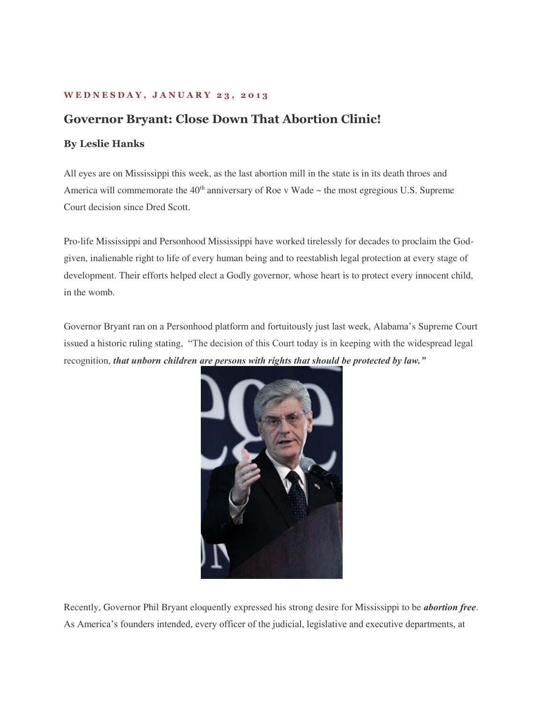## **W E D N E S D A Y , J A N U A R Y 2 3 , 2 0 1 3**

## **Governor Bryant: Close Down That Abortion Clinic!**

## **By Leslie Hanks**

All eyes are on Mississippi this week, as the last abortion mill in the state is in its death throes and America will commemorate the  $40<sup>th</sup>$  anniversary of Roe v Wade  $\sim$  the most egregious U.S. Supreme Court decision since Dred Scott.

Pro-life Mississippi and Personhood Mississippi have worked tirelessly for decades to proclaim the Godgiven, inalienable right to life of every human being and to reestablish legal protection at every stage of development. Their efforts helped elect a Godly governor, whose heart is to protect every innocent child, in the womb.

Governor Bryant ran on a Personhood platform and fortuitously just last week, Alabama's Supreme Court issued a historic ruling stating, "The decision of this Court today is in keeping with the widespread legal recognition, *that unborn children are persons with rights that should be protected by law."*



Recently, Governor Phil Bryant eloquently expressed his strong desire for Mississippi to be *abortion free*. As America's founders intended, every officer of the judicial, legislative and executive departments, at